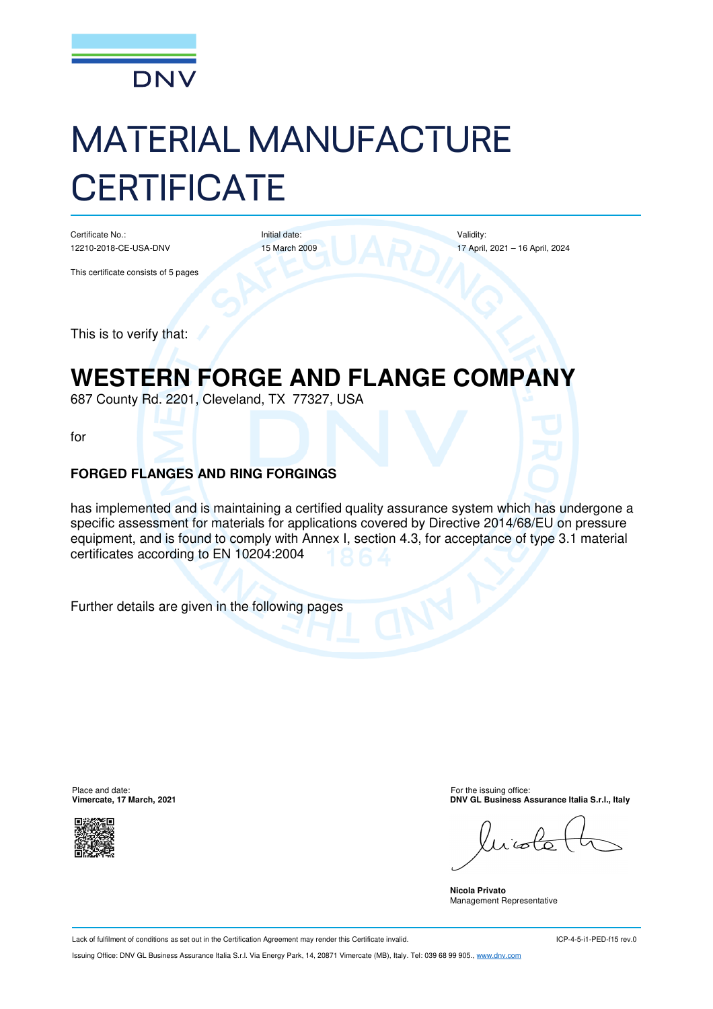

# MATERIAL MANUFACTURE **CERTIFICATE**

Certificate No.: 12210-2018-CE-USA-DNV Initial date: 15 March 2009 Validity: 17 April, 2021 – 16 April, 2024

This certificate consists of 5 pages

This is to verify that:

# **WESTERN FORGE AND FLANGE COMPANY**

687 County Rd. 2201, Cleveland, TX 77327, USA

for

#### **FORGED FLANGES AND RING FORGINGS**

has implemented and is maintaining a certified quality assurance system which has undergone a specific assessment for materials for applications covered by Directive 2014/68/EU on pressure equipment, and is found to comply with Annex I, section 4.3, for acceptance of type 3.1 material certificates according to EN 10204:2004

Further details are given in the following pages

Place and date: For the issuing office:<br> **Place and date:** For the issuing office:<br> **PINY GL Business Askstrate, 17 March, 2021** 



**DNV GL Business Assurance Italia S.r.l., Italy** 

r'a

**Nicola Privato**  Management Representative

Lack of fulfilment of conditions as set out in the Certification Agreement may render this Certificate invalid.

ICP-4-5-i1-PED-f15 rev.0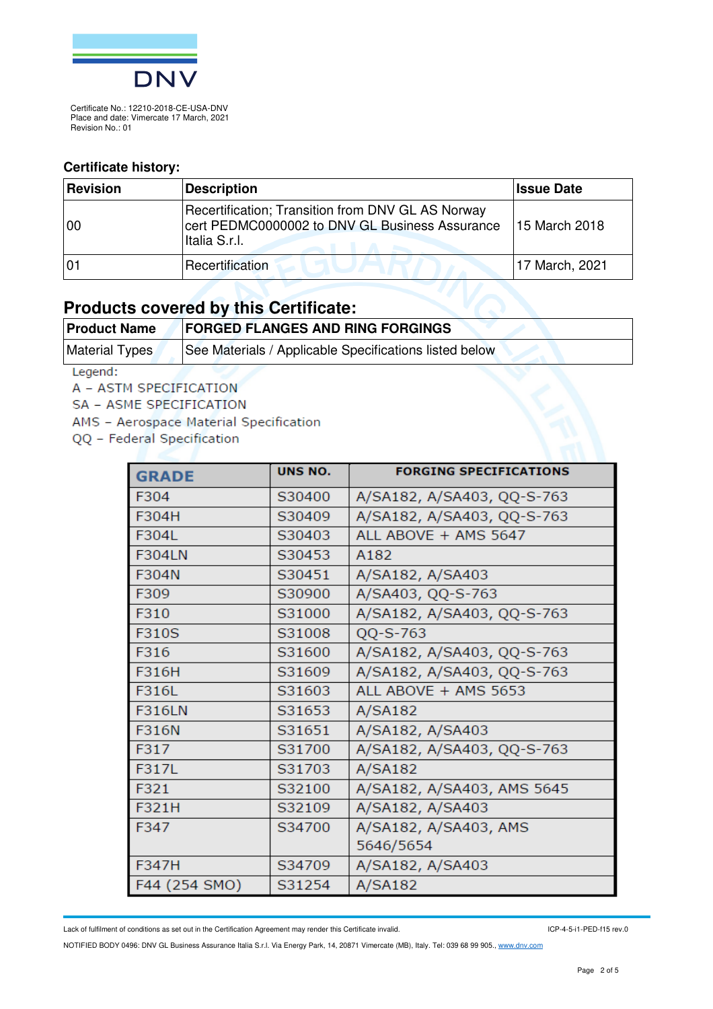

#### **Certificate history:**

| Revision | Description                                                                                                          | <b>Issue Date</b> |
|----------|----------------------------------------------------------------------------------------------------------------------|-------------------|
| 100      | Recertification; Transition from DNV GL AS Norway<br>cert PEDMC0000002 to DNV GL Business Assurance<br>Italia S.r.l. | 15 March 2018     |
| 01       | Recertification                                                                                                      | 17 March, 2021    |

#### **Products covered by this Certificate:**

| <b>Product Name</b> | <b>FORGED FLANGES AND RING FORGINGS</b>                |
|---------------------|--------------------------------------------------------|
| Material Types      | See Materials / Applicable Specifications listed below |
| Legendi.            |                                                        |

Legend:

A - ASTM SPECIFICATION

SA - ASME SPECIFICATION

AMS - Aerospace Material Specification

QQ - Federal Specification

| <b>GRADE</b>  | UNS NO. | <b>FORGING SPECIFICATIONS</b> |
|---------------|---------|-------------------------------|
| F304          | S30400  | A/SA182, A/SA403, QQ-S-763    |
| F304H         | S30409  | A/SA182, A/SA403, QQ-S-763    |
| F304L         | S30403  | ALL ABOVE + AMS 5647          |
| <b>F304LN</b> | S30453  | A182                          |
| F304N         | S30451  | A/SA182, A/SA403              |
| F309          | S30900  | A/SA403, QQ-S-763             |
| F310          | S31000  | A/SA182, A/SA403, QQ-S-763    |
| F310S         | S31008  | $QQ-S-763$                    |
| F316          | S31600  | A/SA182, A/SA403, QQ-S-763    |
| F316H         | S31609  | A/SA182, A/SA403, QQ-S-763    |
| F316L         | S31603  | ALL ABOVE + AMS 5653          |
| <b>F316LN</b> | S31653  | A/SA182                       |
| F316N         | S31651  | A/SA182, A/SA403              |
| F317          | S31700  | A/SA182, A/SA403, QQ-S-763    |
| F317L         | S31703  | A/SA182                       |
| F321          | S32100  | A/SA182, A/SA403, AMS 5645    |
| F321H         | S32109  | A/SA182, A/SA403              |
| F347          | S34700  | A/SA182, A/SA403, AMS         |
|               |         | 5646/5654                     |
| F347H         | S34709  | A/SA182, A/SA403              |
| F44 (254 SMO) | S31254  | A/SA182                       |

Lack of fulfilment of conditions as set out in the Certification Agreement may render this Certificate invalid.

ICP-4-5-i1-PED-f15 rev.0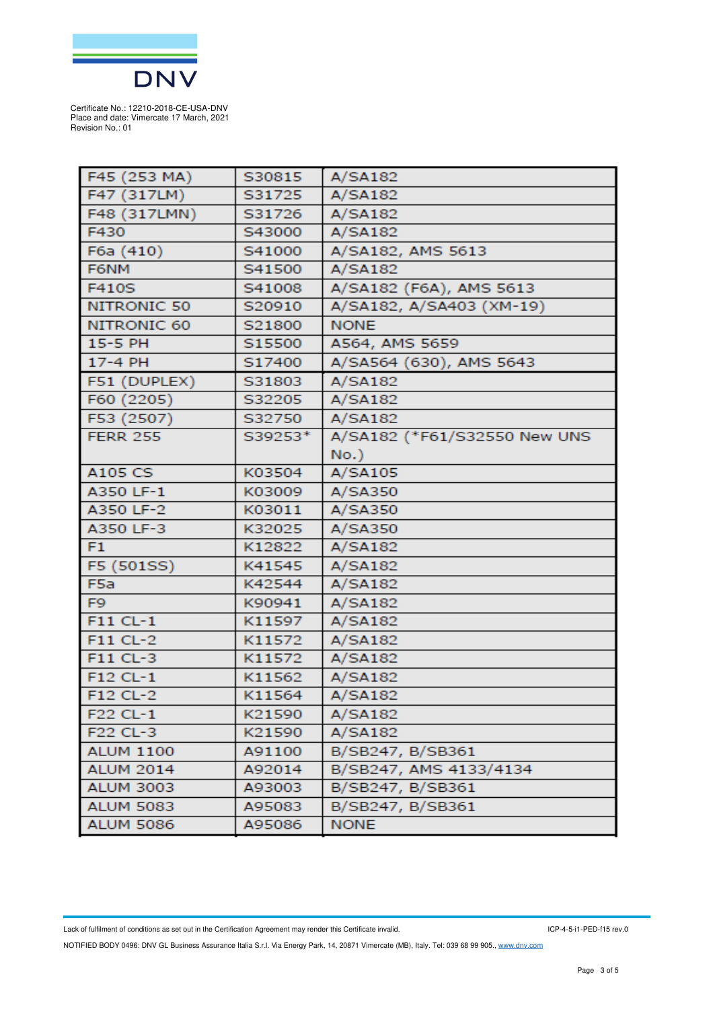

| F45 (253 MA)     | S30815  | A/SA182                      |
|------------------|---------|------------------------------|
| F47 (317LM)      | S31725  | A/SA182                      |
| F48 (317LMN)     | S31726  | A/SA182                      |
| F430             | S43000  | A/SA182                      |
| F6a (410)        | S41000  | A/SA182, AMS 5613            |
| F6NM             | S41500  | A/SA182                      |
| F410S            | S41008  | A/SA182 (F6A), AMS 5613      |
| NITRONIC 50      | S20910  | A/SA182, A/SA403 (XM-19)     |
| NITRONIC 60      | S21800  | <b>NONE</b>                  |
| 15-5 PH          | S15500  | A564, AMS 5659               |
| 17-4 PH          | S17400  | A/SA564 (630), AMS 5643      |
| F51 (DUPLEX)     | S31803  | A/SA182                      |
| F60 (2205)       | S32205  | A/SA182                      |
| F53 (2507)       | S32750  | A/SA182                      |
| <b>FERR 255</b>  | S39253* | A/SA182 (*F61/S32550 New UNS |
|                  |         | $No.$ )                      |
| A105 CS          | K03504  | A/SA105                      |
| A350 LF-1        | K03009  | A/SA350                      |
| A350 LF-2        | K03011  | A/SA350                      |
| A350 LF-3        | K32025  | A/SA350                      |
| F <sub>1</sub>   | K12822  | A/SA182                      |
| F5 (501SS)       | K41545  | A/SA182                      |
| F <sub>5a</sub>  | K42544  | A/SA182                      |
| F <sub>9</sub>   | K90941  | A/SA182                      |
| F11 CL-1         | K11597  | A/SA182                      |
| F11 CL-2         | K11572  | A/SA182                      |
| F11 CL-3         | K11572  | A/SA182                      |
| $F12 CL-1$       | K11562  | A/SA182                      |
| F12 CL-2         | K11564  | A/SA182                      |
| F22 CL-1         | K21590  | A/SA182                      |
| F22 CL-3         | K21590  | A/SA182                      |
| <b>ALUM 1100</b> | A91100  | B/SB247, B/SB361             |
| <b>ALUM 2014</b> | A92014  | B/SB247, AMS 4133/4134       |
| <b>ALUM 3003</b> | A93003  | B/SB247, B/SB361             |
| <b>ALUM 5083</b> | A95083  | B/SB247, B/SB361             |
| <b>ALUM 5086</b> | A95086  | <b>NONE</b>                  |

Lack of fulfilment of conditions as set out in the Certification Agreement may render this Certificate invalid.

ICP-4-5-i1-PED-f15 rev.0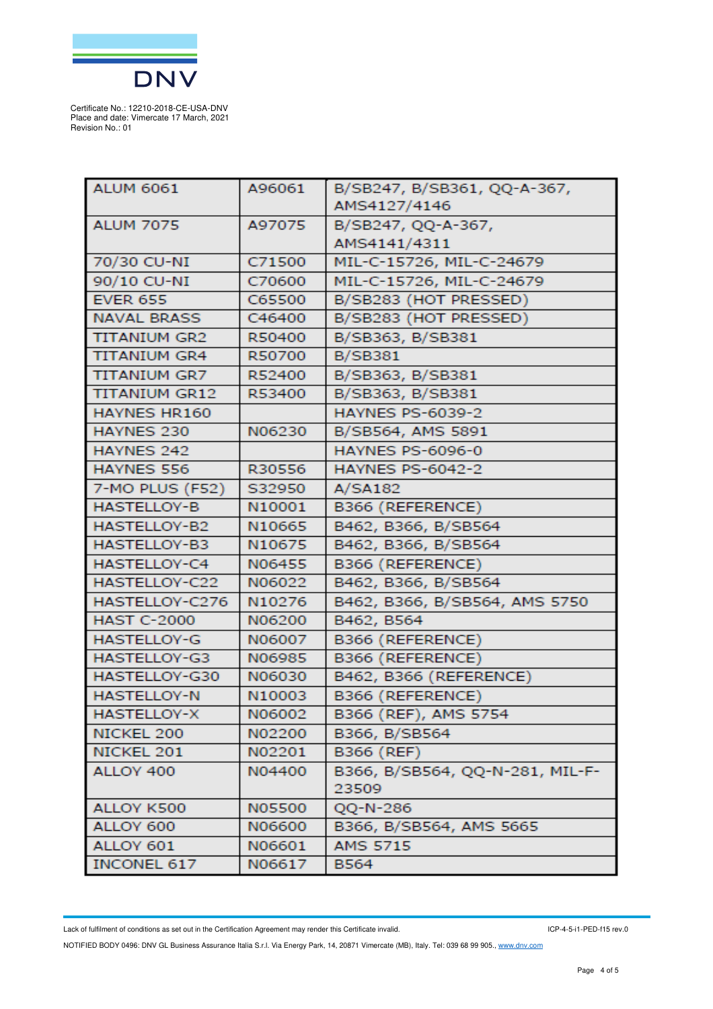

| <b>ALUM 6061</b>     | A96061        | B/SB247, B/SB361, QQ-A-367,     |
|----------------------|---------------|---------------------------------|
|                      |               | AMS4127/4146                    |
| <b>ALUM 7075</b>     | A97075        | B/SB247, QQ-A-367,              |
|                      |               | AMS4141/4311                    |
| 70/30 CU-NI          | C71500        | MIL-C-15726, MIL-C-24679        |
| 90/10 CU-NI          | C70600        | MIL-C-15726, MIL-C-24679        |
| <b>EVER 655</b>      | C65500        | B/SB283 (HOT PRESSED)           |
| <b>NAVAL BRASS</b>   | C46400        | B/SB283 (HOT PRESSED)           |
| <b>TITANIUM GR2</b>  | R50400        | B/SB363, B/SB381                |
| <b>TITANIUM GR4</b>  | R50700        | <b>B/SB381</b>                  |
| <b>TITANIUM GR7</b>  | R52400        | B/SB363, B/SB381                |
| <b>TITANIUM GR12</b> | R53400        | B/SB363, B/SB381                |
| HAYNES HR160         |               | <b>HAYNES PS-6039-2</b>         |
| HAYNES 230           | N06230        | B/SB564, AMS 5891               |
| HAYNES 242           |               | <b>HAYNES PS-6096-0</b>         |
| HAYNES 556           | R30556        | <b>HAYNES PS-6042-2</b>         |
| 7-MO PLUS (F52)      | S32950        | A/SA182                         |
| <b>HASTELLOY-B</b>   | N10001        | B366 (REFERENCE)                |
| HASTELLOY-B2         | N10665        | B462, B366, B/SB564             |
| <b>HASTELLOY-B3</b>  | N10675        | B462, B366, B/SB564             |
| HASTELLOY-C4         | N06455        | B366 (REFERENCE)                |
| HASTELLOY-C22        | N06022        | B462, B366, B/SB564             |
| HASTELLOY-C276       | N10276        | B462, B366, B/SB564, AMS 5750   |
| <b>HAST C-2000</b>   | N06200        | B462, B564                      |
| <b>HASTELLOY-G</b>   | N06007        | B366 (REFERENCE)                |
| HASTELLOY-G3         | N06985        | B366 (REFERENCE)                |
| HASTELLOY-G30        | N06030        | B462, B366 (REFERENCE)          |
| <b>HASTELLOY-N</b>   | N10003        | B366 (REFERENCE)                |
| HASTELLOY-X          | N06002        | B366 (REF), AMS 5754            |
| NICKEL 200           | N02200        | B366, B/SB564                   |
| NICKEL 201           | N02201        | B366 (REF)                      |
| ALLOY 400            | N04400        | B366, B/SB564, QQ-N-281, MIL-F- |
|                      |               | 23509                           |
| ALLOY K500           | <b>N05500</b> | QQ-N-286                        |
| ALLOY 600            | N06600        | B366, B/SB564, AMS 5665         |
| ALLOY 601            | N06601        | <b>AMS 5715</b>                 |
| <b>INCONEL 617</b>   | N06617        | <b>B564</b>                     |

Lack of fulfilment of conditions as set out in the Certification Agreement may render this Certificate invalid.

ICP-4-5-i1-PED-f15 rev.0